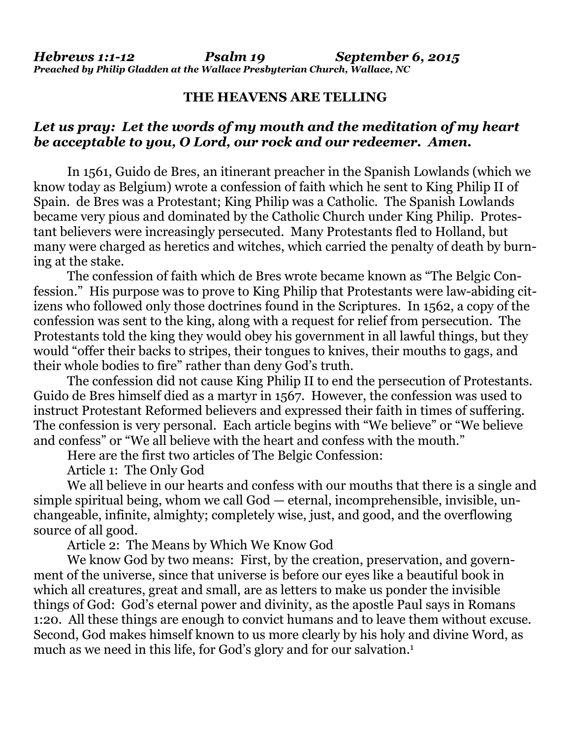## **THE HEAVENS ARE TELLING**

## *Let us pray: Let the words of my mouth and the meditation of my heart be acceptable to you, O Lord, our rock and our redeemer. Amen.*

In 1561, Guido de Bres, an itinerant preacher in the Spanish Lowlands (which we know today as Belgium) wrote a confession of faith which he sent to King Philip II of Spain. de Bres was a Protestant; King Philip was a Catholic. The Spanish Lowlands became very pious and dominated by the Catholic Church under King Philip. Protestant believers were increasingly persecuted. Many Protestants fled to Holland, but many were charged as heretics and witches, which carried the penalty of death by burning at the stake.

 The confession of faith which de Bres wrote became known as "The Belgic Confession." His purpose was to prove to King Philip that Protestants were law-abiding citizens who followed only those doctrines found in the Scriptures. In 1562, a copy of the confession was sent to the king, along with a request for relief from persecution. The Protestants told the king they would obey his government in all lawful things, but they would "offer their backs to stripes, their tongues to knives, their mouths to gags, and their whole bodies to fire" rather than deny God's truth.

 The confession did not cause King Philip II to end the persecution of Protestants. Guido de Bres himself died as a martyr in 1567. However, the confession was used to instruct Protestant Reformed believers and expressed their faith in times of suffering. The confession is very personal. Each article begins with "We believe" or "We believe and confess" or "We all believe with the heart and confess with the mouth."

Here are the first two articles of The Belgic Confession:

Article 1: The Only God

 We all believe in our hearts and confess with our mouths that there is a single and simple spiritual being, whom we call God — eternal, incomprehensible, invisible, unchangeable, infinite, almighty; completely wise, just, and good, and the overflowing source of all good.

Article 2: The Means by Which We Know God

We know God by two means: First, by the creation, preservation, and government of the universe, since that universe is before our eyes like a beautiful book in which all creatures, great and small, are as letters to make us ponder the invisible things of God: God's eternal power and divinity, as the apostle Paul says in Romans 1:20. All these things are enough to convict humans and to leave them without excuse. Second, God makes himself known to us more clearly by his holy and divine Word, as much as we need in this life, for God's glory and for our salvation.<sup>1</sup>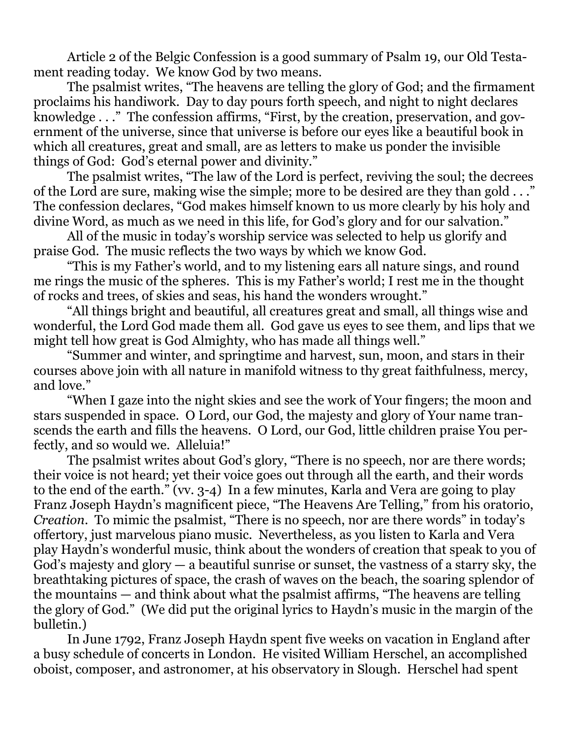Article 2 of the Belgic Confession is a good summary of Psalm 19, our Old Testament reading today. We know God by two means.

 The psalmist writes, "The heavens are telling the glory of God; and the firmament proclaims his handiwork. Day to day pours forth speech, and night to night declares knowledge . . ." The confession affirms, "First, by the creation, preservation, and government of the universe, since that universe is before our eyes like a beautiful book in which all creatures, great and small, are as letters to make us ponder the invisible things of God: God's eternal power and divinity."

 The psalmist writes, "The law of the Lord is perfect, reviving the soul; the decrees of the Lord are sure, making wise the simple; more to be desired are they than gold . . ." The confession declares, "God makes himself known to us more clearly by his holy and divine Word, as much as we need in this life, for God's glory and for our salvation."

 All of the music in today's worship service was selected to help us glorify and praise God. The music reflects the two ways by which we know God.

 "This is my Father's world, and to my listening ears all nature sings, and round me rings the music of the spheres. This is my Father's world; I rest me in the thought of rocks and trees, of skies and seas, his hand the wonders wrought."

 "All things bright and beautiful, all creatures great and small, all things wise and wonderful, the Lord God made them all. God gave us eyes to see them, and lips that we might tell how great is God Almighty, who has made all things well."

 "Summer and winter, and springtime and harvest, sun, moon, and stars in their courses above join with all nature in manifold witness to thy great faithfulness, mercy, and love."

 "When I gaze into the night skies and see the work of Your fingers; the moon and stars suspended in space. O Lord, our God, the majesty and glory of Your name transcends the earth and fills the heavens. O Lord, our God, little children praise You perfectly, and so would we. Alleluia!"

 The psalmist writes about God's glory, "There is no speech, nor are there words; their voice is not heard; yet their voice goes out through all the earth, and their words to the end of the earth." (vv. 3-4) In a few minutes, Karla and Vera are going to play Franz Joseph Haydn's magnificent piece, "The Heavens Are Telling," from his oratorio, *Creation*. To mimic the psalmist, "There is no speech, nor are there words" in today's offertory, just marvelous piano music. Nevertheless, as you listen to Karla and Vera play Haydn's wonderful music, think about the wonders of creation that speak to you of God's majesty and glory — a beautiful sunrise or sunset, the vastness of a starry sky, the breathtaking pictures of space, the crash of waves on the beach, the soaring splendor of the mountains — and think about what the psalmist affirms, "The heavens are telling the glory of God." (We did put the original lyrics to Haydn's music in the margin of the bulletin.)

 In June 1792, Franz Joseph Haydn spent five weeks on vacation in England after a busy schedule of concerts in London. He visited William Herschel, an accomplished oboist, composer, and astronomer, at his observatory in Slough. Herschel had spent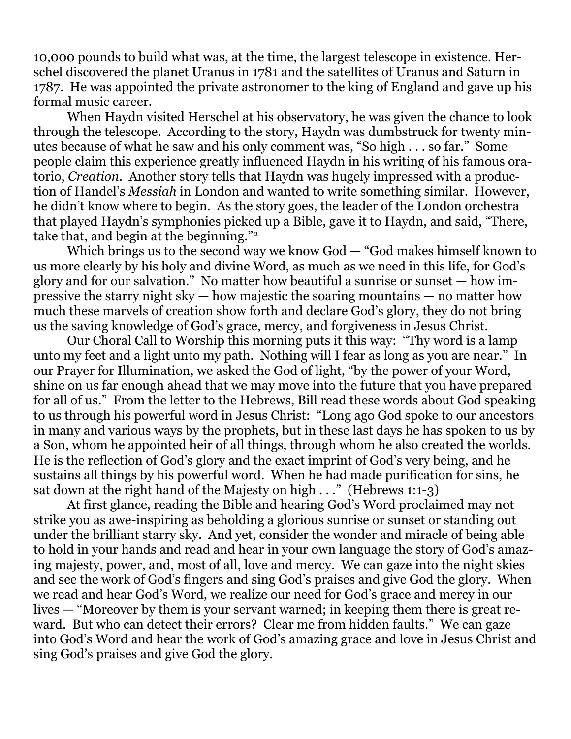10,000 pounds to build what was, at the time, the largest telescope in existence. Herschel discovered the planet Uranus in 1781 and the satellites of Uranus and Saturn in 1787. He was appointed the private astronomer to the king of England and gave up his formal music career.

 When Haydn visited Herschel at his observatory, he was given the chance to look through the telescope. According to the story, Haydn was dumbstruck for twenty minutes because of what he saw and his only comment was, "So high . . . so far." Some people claim this experience greatly influenced Haydn in his writing of his famous oratorio, *Creation.* Another story tells that Haydn was hugely impressed with a production of Handel's *Messiah* in London and wanted to write something similar. However, he didn't know where to begin. As the story goes, the leader of the London orchestra that played Haydn's symphonies picked up a Bible, gave it to Haydn, and said, "There, take that, and begin at the beginning."2

Which brings us to the second way we know God — "God makes himself known to us more clearly by his holy and divine Word, as much as we need in this life, for God's glory and for our salvation." No matter how beautiful a sunrise or sunset — how impressive the starry night sky — how majestic the soaring mountains — no matter how much these marvels of creation show forth and declare God's glory, they do not bring us the saving knowledge of God's grace, mercy, and forgiveness in Jesus Christ.

 Our Choral Call to Worship this morning puts it this way: "Thy word is a lamp unto my feet and a light unto my path. Nothing will I fear as long as you are near." In our Prayer for Illumination, we asked the God of light, "by the power of your Word, shine on us far enough ahead that we may move into the future that you have prepared for all of us." From the letter to the Hebrews, Bill read these words about God speaking to us through his powerful word in Jesus Christ: "Long ago God spoke to our ancestors in many and various ways by the prophets, but in these last days he has spoken to us by a Son, whom he appointed heir of all things, through whom he also created the worlds. He is the reflection of God's glory and the exact imprint of God's very being, and he sustains all things by his powerful word. When he had made purification for sins, he sat down at the right hand of the Majesty on high . . ." (Hebrews 1:1-3)

 At first glance, reading the Bible and hearing God's Word proclaimed may not strike you as awe-inspiring as beholding a glorious sunrise or sunset or standing out under the brilliant starry sky. And yet, consider the wonder and miracle of being able to hold in your hands and read and hear in your own language the story of God's amazing majesty, power, and, most of all, love and mercy. We can gaze into the night skies and see the work of God's fingers and sing God's praises and give God the glory. When we read and hear God's Word, we realize our need for God's grace and mercy in our lives — "Moreover by them is your servant warned; in keeping them there is great reward. But who can detect their errors? Clear me from hidden faults." We can gaze into God's Word and hear the work of God's amazing grace and love in Jesus Christ and sing God's praises and give God the glory.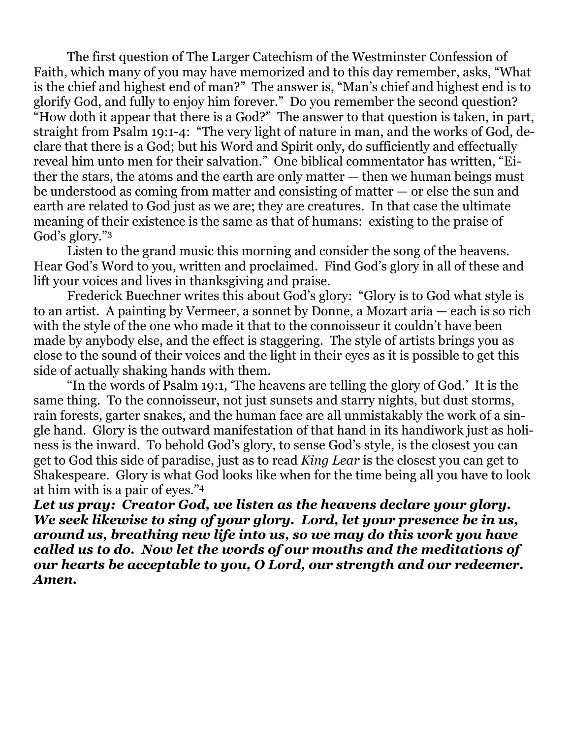The first question of The Larger Catechism of the Westminster Confession of Faith, which many of you may have memorized and to this day remember, asks, "What is the chief and highest end of man?" The answer is, "Man's chief and highest end is to glorify God, and fully to enjoy him forever." Do you remember the second question? "How doth it appear that there is a God?" The answer to that question is taken, in part, straight from Psalm 19:1-4: "The very light of nature in man, and the works of God, declare that there is a God; but his Word and Spirit only, do sufficiently and effectually reveal him unto men for their salvation." One biblical commentator has written, "Either the stars, the atoms and the earth are only matter — then we human beings must be understood as coming from matter and consisting of matter — or else the sun and earth are related to God just as we are; they are creatures. In that case the ultimate meaning of their existence is the same as that of humans: existing to the praise of God's glory."3

 Listen to the grand music this morning and consider the song of the heavens. Hear God's Word to you, written and proclaimed. Find God's glory in all of these and lift your voices and lives in thanksgiving and praise.

 Frederick Buechner writes this about God's glory: "Glory is to God what style is to an artist. A painting by Vermeer, a sonnet by Donne, a Mozart aria — each is so rich with the style of the one who made it that to the connoisseur it couldn't have been made by anybody else, and the effect is staggering. The style of artists brings you as close to the sound of their voices and the light in their eyes as it is possible to get this side of actually shaking hands with them.

 "In the words of Psalm 19:1, 'The heavens are telling the glory of God.' It is the same thing. To the connoisseur, not just sunsets and starry nights, but dust storms, rain forests, garter snakes, and the human face are all unmistakably the work of a single hand. Glory is the outward manifestation of that hand in its handiwork just as holiness is the inward. To behold God's glory, to sense God's style, is the closest you can get to God this side of paradise, just as to read *King Lear* is the closest you can get to Shakespeare. Glory is what God looks like when for the time being all you have to look at him with is a pair of eyes."4

*Let us pray: Creator God, we listen as the heavens declare your glory. We seek likewise to sing of your glory. Lord, let your presence be in us, around us, breathing new life into us, so we may do this work you have called us to do. Now let the words of our mouths and the meditations of our hearts be acceptable to you, O Lord, our strength and our redeemer. Amen.*